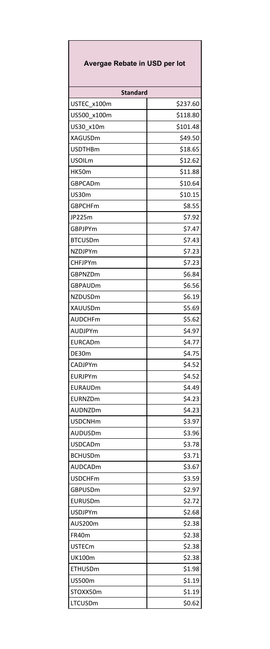| Avergae Rebate in USD per lot |          |  |
|-------------------------------|----------|--|
| <b>Standard</b>               |          |  |
| USTEC x100m                   | \$237.60 |  |
| US500 x100m                   | \$118.80 |  |
| US30 x10m                     | \$101.48 |  |
| <b>XAGUSDm</b>                | \$49.50  |  |
| <b>USDTHBm</b>                | \$18.65  |  |
| <b>USOILm</b>                 | \$12.62  |  |
| HK50m                         | \$11.88  |  |
| GBPCADm                       | \$10.64  |  |
| US30m                         | \$10.15  |  |
| <b>GBPCHFm</b>                | \$8.55   |  |
| JP225m                        | \$7.92   |  |
| GBPJPYm                       | \$7.47   |  |
| <b>BTCUSDm</b>                | \$7.43   |  |
| NZDJPYm                       | \$7.23   |  |
| <b>CHFJPYm</b>                | \$7.23   |  |
| GBPNZDm                       | \$6.84   |  |
| <b>GBPAUDm</b>                | \$6.56   |  |
| NZDUSDm                       | \$6.19   |  |
| XAUUSDm                       | \$5.69   |  |
| AUDCHFm                       | \$5.62   |  |
| AUDJPYm                       | \$4.97   |  |
| EURCADm                       | \$4.77   |  |
| DE30m                         | \$4.75   |  |
| CADJPYm                       | \$4.52   |  |
| EURJPYm                       | \$4.52   |  |
| EURAUDm                       | \$4.49   |  |
| EURNZDm                       | \$4.23   |  |
| AUDNZDm                       | \$4.23   |  |
| <b>USDCNHm</b>                | \$3.97   |  |
| AUDUSDm                       | \$3.96   |  |
| <b>USDCADm</b>                | \$3.78   |  |
| <b>BCHUSDm</b>                | \$3.71   |  |
| AUDCADm                       | \$3.67   |  |
| <b>USDCHFm</b>                | \$3.59   |  |
| GBPUSDm                       | \$2.97   |  |
| EURUSDm                       | \$2.72   |  |
| <b>USDJPYm</b>                | \$2.68   |  |
| AUS200m                       | \$2.38   |  |
| FR40m                         | \$2.38   |  |
| <b>USTECm</b>                 | \$2.38   |  |
| <b>UK100m</b>                 | \$2.38   |  |
| <b>ETHUSDm</b>                | \$1.98   |  |
| US500m                        | \$1.19   |  |
| STOXX50m                      | \$1.19   |  |
| LTCUSDm                       | \$0.62   |  |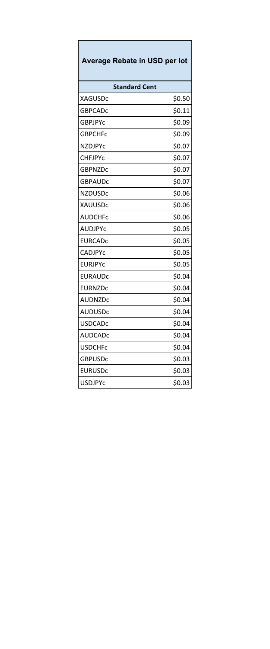| Average Rebate in USD per lot |        |  |
|-------------------------------|--------|--|
| <b>Standard Cent</b>          |        |  |
| <b>XAGUSDc</b>                | \$0.50 |  |
| GBPCADc                       | \$0.11 |  |
| GBPJPYc                       | \$0.09 |  |
| <b>GBPCHFc</b>                | \$0.09 |  |
| NZDJPYC                       | \$0.07 |  |
| CHFJPYc                       | \$0.07 |  |
| GBPNZDc                       | \$0.07 |  |
| <b>GBPAUDC</b>                | \$0.07 |  |
| <b>NZDUSDc</b>                | \$0.06 |  |
| XAUUSDc                       | \$0.06 |  |
| <b>AUDCHFC</b>                | \$0.06 |  |
| AUDJPYC                       | \$0.05 |  |
| EURCADC                       | \$0.05 |  |
| <b>CADJPYC</b>                | \$0.05 |  |
| <b>EURJPYC</b>                | \$0.05 |  |
| <b>EURAUDC</b>                | \$0.04 |  |
| <b>EURNZDC</b>                | \$0.04 |  |
| AUDNZDc                       | \$0.04 |  |
| <b>AUDUSDc</b>                | \$0.04 |  |
| <b>USDCADc</b>                | \$0.04 |  |
| AUDCADc                       | \$0.04 |  |
| <b>USDCHFc</b>                | \$0.04 |  |
| <b>GBPUSDc</b>                | \$0.03 |  |
| <b>EURUSDc</b>                | \$0.03 |  |
| <b>USDJPYc</b>                | \$0.03 |  |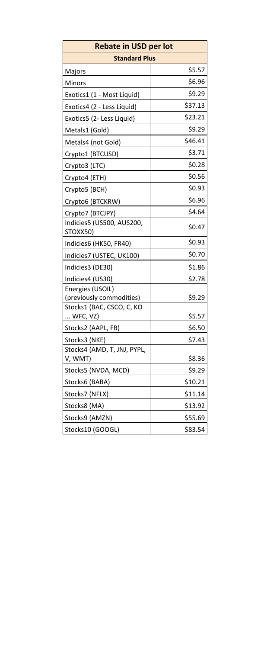| <b>Rebate in USD per lot</b>                 |         |  |
|----------------------------------------------|---------|--|
| <b>Standard Plus</b>                         |         |  |
| Majors                                       | \$5.57  |  |
| Minors                                       | \$6.96  |  |
| Exotics1 (1 - Most Liquid)                   | \$9.29  |  |
| Exotics4 (2 - Less Liquid)                   | \$37.13 |  |
| Exotics5 (2- Less Liquid)                    | \$23.21 |  |
| Metals1 (Gold)                               | \$9.29  |  |
| Metals4 (not Gold)                           | \$46.41 |  |
| Crypto1 (BTCUSD)                             | \$3.71  |  |
| Crypto3 (LTC)                                | \$0.28  |  |
| Crypto4 (ETH)                                | \$0.56  |  |
| Crypto5 (BCH)                                | \$0.93  |  |
| Crypto6 (BTCKRW)                             | \$6.96  |  |
| Crypto7 (BTCJPY)                             | \$4.64  |  |
| Indicies5 (US500, AUS200,<br>STOXX50)        | \$0.47  |  |
| Indicies6 (HK50, FR40)                       | \$0.93  |  |
| Indicies7 (USTEC, UK100)                     | \$0.70  |  |
| Indicies3 (DE30)                             | \$1.86  |  |
| Indicies4 (US30)                             | \$2.78  |  |
| Energies (USOIL)<br>(previously commodities) | \$9.29  |  |
| Stocks1 (BAC, CSCO, C, KO<br>$$ WFC, $VZ$ )  | \$5.57  |  |
|                                              |         |  |
| Stocks2 (AAPL, FB)                           | \$6.50  |  |
| Stocks3 (NKE)<br>Stocks4 (AMD, T, JNJ, PYPL, | \$7.43  |  |
| V, WMT)                                      | \$8.36  |  |
| Stocks5 (NVDA, MCD)                          | \$9.29  |  |
| Stocks6 (BABA)                               | \$10.21 |  |
| Stocks7 (NFLX)                               | \$11.14 |  |
| Stocks8 (MA)                                 | \$13.92 |  |
| Stocks9 (AMZN)                               | \$55.69 |  |
| Stocks10 (GOOGL)                             | \$83.54 |  |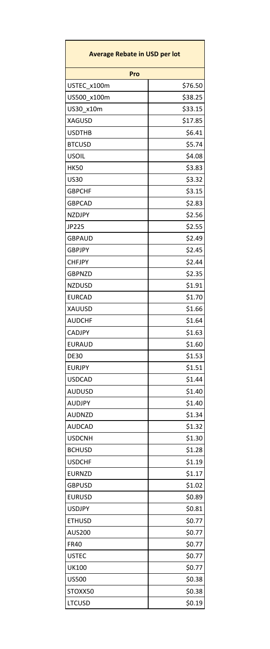| <b>Average Rebate in USD per lot</b> |                  |  |
|--------------------------------------|------------------|--|
| Pro                                  |                  |  |
| USTEC x100m                          | \$76.50          |  |
| US500 x100m                          | \$38.25          |  |
| US30 x10m                            | \$33.15          |  |
| <b>XAGUSD</b>                        | \$17.85          |  |
| <b>USDTHB</b>                        | \$6.41           |  |
| <b>BTCUSD</b>                        | \$5.74           |  |
| <b>USOIL</b>                         | \$4.08           |  |
| <b>HK50</b>                          | \$3.83           |  |
| <b>US30</b>                          | \$3.32           |  |
| <b>GBPCHF</b>                        | \$3.15           |  |
| <b>GBPCAD</b>                        | \$2.83           |  |
| <b>NZDJPY</b>                        | \$2.56           |  |
| JP225                                | \$2.55           |  |
| GBPAUD                               | \$2.49           |  |
| <b>GBPJPY</b>                        | \$2.45           |  |
| <b>CHFJPY</b>                        | \$2.44           |  |
| <b>GBPNZD</b>                        | \$2.35           |  |
| NZDUSD                               | \$1.91           |  |
| <b>EURCAD</b>                        | \$1.70           |  |
| XAUUSD                               | \$1.66           |  |
| <b>AUDCHF</b>                        | \$1.64           |  |
| CADJPY                               | \$1.63           |  |
| EURAUD                               | \$1.60           |  |
| <b>DE30</b>                          | \$1.53           |  |
| <b>EURJPY</b>                        | \$1.51           |  |
| <b>USDCAD</b>                        | \$1.44           |  |
| <b>AUDUSD</b>                        | \$1.40           |  |
| AUDJPY                               | \$1.40           |  |
| AUDNZD                               | \$1.34           |  |
| <b>AUDCAD</b>                        | \$1.32           |  |
| <b>USDCNH</b>                        | \$1.30           |  |
| <b>BCHUSD</b>                        | \$1.28           |  |
| <b>USDCHF</b>                        | \$1.19           |  |
| <b>EURNZD</b>                        | \$1.17           |  |
| <b>GBPUSD</b>                        | \$1.02           |  |
| <b>EURUSD</b>                        | \$0.89           |  |
| <b>USDJPY</b>                        | \$0.81           |  |
| <b>ETHUSD</b>                        | \$0.77           |  |
| <b>AUS200</b>                        | \$0.77           |  |
| <b>FR40</b>                          | \$0.77           |  |
| <b>USTEC</b>                         | \$0.77           |  |
|                                      |                  |  |
| UK100                                | \$0.77<br>\$0.38 |  |
| <b>US500</b>                         |                  |  |
| STOXX50                              | \$0.38           |  |
| <b>LTCUSD</b>                        | \$0.19           |  |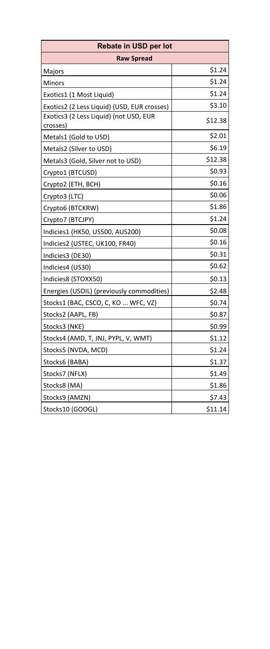| Rebate in USD per lot                              |         |  |
|----------------------------------------------------|---------|--|
| <b>Raw Spread</b>                                  |         |  |
| Majors                                             | \$1.24  |  |
| Minors                                             | \$1.24  |  |
| Exotics1 (1 Most Liquid)                           | \$1.24  |  |
| Exotics2 (2 Less Liquid) (USD, EUR crosses)        | \$3.10  |  |
| Exotics3 (2 Less Liquid) (not USD, EUR<br>crosses) | \$12.38 |  |
| Metals1 (Gold to USD)                              | \$2.01  |  |
| Metals2 (Silver to USD)                            | \$6.19  |  |
| Metals3 (Gold, Silver not to USD)                  | \$12.38 |  |
| Crypto1 (BTCUSD)                                   | \$0.93  |  |
| Crypto2 (ETH, BCH)                                 | \$0.16  |  |
| Crypto3 (LTC)                                      | \$0.06  |  |
| Crypto6 (BTCKRW)                                   | \$1.86  |  |
| Crypto7 (BTCJPY)                                   | \$1.24  |  |
| Indicies1 (HK50, US500, AUS200)                    | \$0.08  |  |
| Indicies2 (USTEC, UK100, FR40)                     | \$0.16  |  |
| Indicies3 (DE30)                                   | \$0.31  |  |
| Indicies4 (US30)                                   | \$0.62  |  |
| Indicies8 (STOXX50)                                | \$0.13  |  |
| Energies (USOIL) (previously commodities)          | \$2.48  |  |
| Stocks1 (BAC, CSCO, C, KO  WFC, VZ)                | \$0.74  |  |
| Stocks2 (AAPL, FB)                                 | \$0.87  |  |
| Stocks3 (NKE)                                      | \$0.99  |  |
| Stocks4 (AMD, T, JNJ, PYPL, V, WMT)                | \$1.12  |  |
| Stocks5 (NVDA, MCD)                                | \$1.24  |  |
| Stocks6 (BABA)                                     | \$1.37  |  |
| Stocks7 (NFLX)                                     | \$1.49  |  |
| Stocks8 (MA)                                       | \$1.86  |  |
| Stocks9 (AMZN)                                     | \$7.43  |  |
| Stocks10 (GOOGL)                                   | \$11.14 |  |